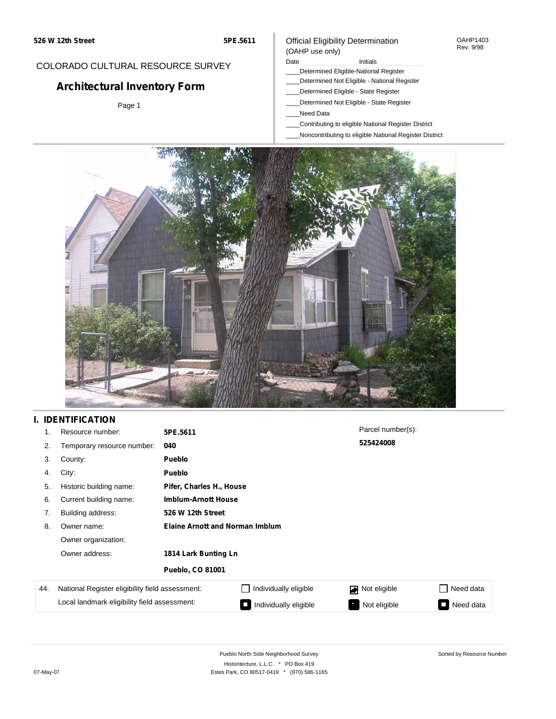COLORADO CULTURAL RESOURCE SURVEY

**Architectural Inventory Form**

Page 1

#### OAHP1403 Rev. 9/98

(OAHP use only)

- Date **Initials** Initials
	- \_\_\_\_Determined Eligible-National Register
	- \_\_\_\_Determined Not Eligible National Register
	- \_\_\_\_Determined Eligible State Register

Official Eligibility Determination

- \_\_\_\_Determined Not Eligible State Register
- \_\_\_\_Need Data
- \_\_\_\_Contributing to eligible National Register District
- \_\_\_\_Noncontributing to eligible National Register District



# **I. IDENTIFICATION**

| 1.  | Resource number:                                                                                | 5PE.5611                |                                        | Parcel number(s): |                             |  |  |
|-----|-------------------------------------------------------------------------------------------------|-------------------------|----------------------------------------|-------------------|-----------------------------|--|--|
| 2.  | Temporary resource number:                                                                      | 040                     |                                        | 525424008         |                             |  |  |
| 3.  | County:                                                                                         | Pueblo                  |                                        |                   |                             |  |  |
| 4.  | City:                                                                                           | Pueblo                  |                                        |                   |                             |  |  |
| 5.  | Historic building name:                                                                         |                         | Pifer, Charles H., House               |                   |                             |  |  |
| 6.  | Current building name:                                                                          |                         | <b>Imblum-Arnott House</b>             |                   |                             |  |  |
| 7.  | Building address:                                                                               | 526 W 12th Street       |                                        |                   |                             |  |  |
| 8.  | Owner name:                                                                                     |                         | <b>Elaine Arnott and Norman Imblum</b> |                   |                             |  |  |
|     | Owner organization:                                                                             |                         |                                        |                   |                             |  |  |
|     | Owner address:                                                                                  | 1814 Lark Bunting Ln    |                                        |                   |                             |  |  |
|     |                                                                                                 | <b>Pueblo, CO 81001</b> |                                        |                   |                             |  |  |
| 44. | National Register eligibility field assessment:<br>Local landmark eligibility field assessment: |                         | Individually eligible                  | Not eligible      | Need data<br>$\blacksquare$ |  |  |
|     |                                                                                                 |                         | Individually eligible                  | Not eligible<br>ъ | Need data<br>$\sim$         |  |  |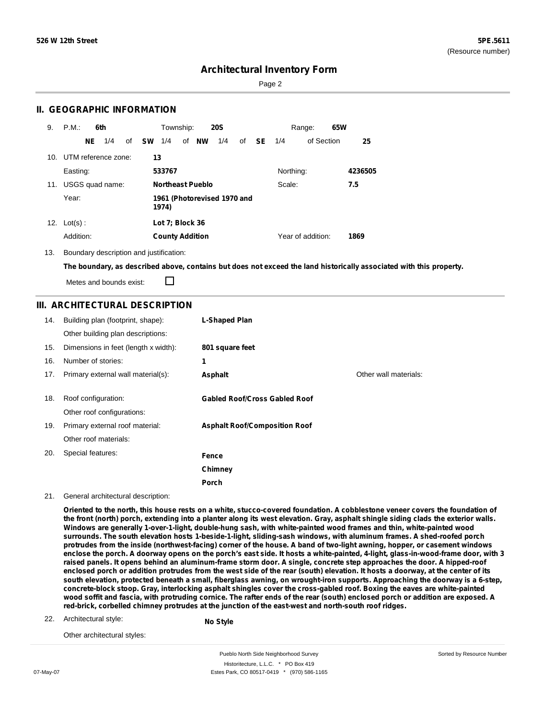Sorted by Resource Number

## **Architectural Inventory Form**

Page 2

## **II. GEOGRAPHIC INFORMATION**

| 9.  | P.M.                |    | 6th             |              | Township:              |                         | <b>20S</b>                  |    |      |           | Range:            | 65W |         |
|-----|---------------------|----|-----------------|--------------|------------------------|-------------------------|-----------------------------|----|------|-----------|-------------------|-----|---------|
|     |                     | NE | 1/4             | of <b>SW</b> | 1/4                    | of NW                   | 1/4                         | of | - SE | 1/4       | of Section        |     | 25      |
| 10. | UTM reference zone: |    |                 | 13           |                        |                         |                             |    |      |           |                   |     |         |
|     | Easting:            |    |                 |              | 533767                 |                         |                             |    |      | Northing: |                   |     | 4236505 |
| 11. |                     |    | USGS quad name: |              |                        | <b>Northeast Pueblo</b> |                             |    |      | Scale:    |                   |     | 7.5     |
|     | Year:               |    |                 |              | 1974)                  |                         | 1961 (Photorevised 1970 and |    |      |           |                   |     |         |
| 12. | $Lot(s)$ :          |    |                 |              | Lot 7; Block 36        |                         |                             |    |      |           |                   |     |         |
|     | Addition:           |    |                 |              | <b>County Addition</b> |                         |                             |    |      |           | Year of addition: |     | 1869    |

13. Boundary description and justification:

The boundary, as described above, contains but does not exceed the land historically associated with this property.

Metes and bounds exist:

П

## **III. ARCHITECTURAL DESCRIPTION**

| 14. | Building plan (footprint, shape):<br>Other building plan descriptions: | L-Shaped Plan                        |                       |
|-----|------------------------------------------------------------------------|--------------------------------------|-----------------------|
| 15. | Dimensions in feet (length x width):                                   | 801 square feet                      |                       |
| 16. | Number of stories:                                                     | 1                                    |                       |
| 17. | Primary external wall material(s):                                     | Asphalt                              | Other wall materials: |
| 18. | Roof configuration:<br>Other roof configurations:                      | <b>Gabled Roof/Cross Gabled Roof</b> |                       |
| 19. | Primary external roof material:                                        | <b>Asphalt Roof/Composition Roof</b> |                       |
|     | Other roof materials:                                                  |                                      |                       |
| 20. | Special features:                                                      | Fence                                |                       |
|     |                                                                        | Chimney                              |                       |
|     |                                                                        | Porch                                |                       |

### 21. General architectural description:

Oriented to the north, this house rests on a white, stucco-covered foundation. A cobblestone veneer covers the foundation of the front (north) porch, extending into a planter along its west elevation. Gray, asphalt shingle siding clads the exterior walls. **Windows are generally 1-over-1-light, double-hung sash, with white-painted wood frames and thin, white-painted wood surrounds. The south elevation hosts 1-beside-1-light, sliding-sash windows, with aluminum frames. A shed-roofed porch** protrudes from the inside (northwest-facing) corner of the house. A band of two-light awning, hopper, or casement windows enclose the porch. A doorway opens on the porch's east side. It hosts a white-painted, 4-light, glass-in-wood-frame door, with 3 raised panels. It opens behind an aluminum-frame storm door. A single, concrete step approaches the door. A hipped-roof enclosed porch or addition protrudes from the west side of the rear (south) elevation. It hosts a doorway, at the center of its south elevation, protected beneath a small, fiberglass awning, on wrought-iron supports. Approaching the doorway is a 6-step, concrete-block stoop. Gray, interlocking asphalt shingles cover the cross-gabled roof. Boxing the eaves are white-painted wood soffit and fascia, with protruding cornice. The rafter ends of the rear (south) enclosed porch or addition are exposed. A **red-brick, corbelled chimney protrudes at the junction of the east-west and north-south roof ridges.**

22. Architectural style:

**No Style**

Other architectural styles:

Pueblo North Side Neighborhood Survey Historitecture, L.L.C. \* PO Box 419 07-May-07 **Estes Park, CO 80517-0419** \* (970) 586-1165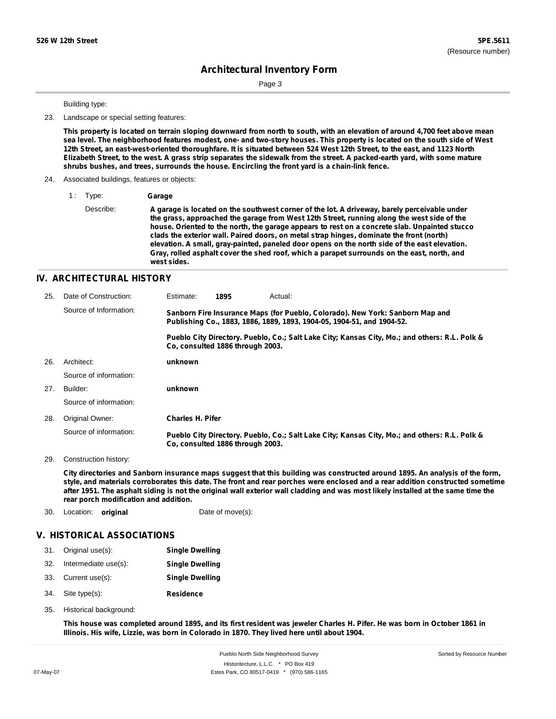Sorted by Resource Number

# **Architectural Inventory Form**

Page 3

### Building type:

23. Landscape or special setting features:

This property is located on terrain sloping downward from north to south, with an elevation of around 4,700 feet above mean sea level. The neighborhood features modest, one- and two-story houses. This property is located on the south side of West 12th Street, an east-west-oriented thoroughfare. It is situated between 524 West 12th Street, to the east, and 1123 North Elizabeth Street, to the west. A grass strip separates the sidewalk from the street. A packed-earth yard, with some mature **shrubs bushes, and trees, surrounds the house. Encircling the front yard is a chain-link fence.**

### 24. Associated buildings, features or objects:

1 : Type: **Garage**

Describe: **A garage is located on the southwest corner of the lot. A driveway, barely perceivable under the grass, approached the garage from West 12th Street, running along the west side of the house. Oriented to the north, the garage appears to rest on a concrete slab. Unpainted stucco clads the exterior wall. Paired doors, on metal strap hinges, dominate the front (north) elevation. A small, gray-painted, paneled door opens on the north side of the east elevation. Gray, rolled asphalt cover the shed roof, which a parapet surrounds on the east, north, and west sides.**

### **IV. ARCHITECTURAL HISTORY**

| 25. | Date of Construction:  | Estimate:               | 1895                             | Actual:                                                                                                                                                 |
|-----|------------------------|-------------------------|----------------------------------|---------------------------------------------------------------------------------------------------------------------------------------------------------|
|     | Source of Information: |                         |                                  | Sanborn Fire Insurance Maps (for Pueblo, Colorado). New York: Sanborn Map and<br>Publishing Co., 1883, 1886, 1889, 1893, 1904-05, 1904-51, and 1904-52. |
|     |                        |                         | Co. consulted 1886 through 2003. | Pueblo City Directory. Pueblo, Co.; Salt Lake City; Kansas City, Mo.; and others: R.L. Polk &                                                           |
| 26. | Architect:             | unknown                 |                                  |                                                                                                                                                         |
|     | Source of information: |                         |                                  |                                                                                                                                                         |
| 27. | Builder:               | unknown                 |                                  |                                                                                                                                                         |
|     | Source of information: |                         |                                  |                                                                                                                                                         |
| 28. | Original Owner:        | <b>Charles H. Pifer</b> |                                  |                                                                                                                                                         |
|     | Source of information: |                         | Co. consulted 1886 through 2003. | Pueblo City Directory. Pueblo, Co.; Salt Lake City; Kansas City, Mo.; and others: R.L. Polk &                                                           |

29. Construction history:

City directories and Sanborn insurance maps suggest that this building was constructed around 1895. An analysis of the form, style, and materials corroborates this date. The front and rear porches were enclosed and a rear addition constructed sometime after 1951. The asphalt siding is not the original wall exterior wall cladding and was most likely installed at the same time the **rear porch modification and addition.**

30. Location: **original** Date of move(s):

### **V. HISTORICAL ASSOCIATIONS**

|     | 31. Original use(s): | <b>Single Dwelling</b> |
|-----|----------------------|------------------------|
| 32. | Intermediate use(s): | <b>Single Dwelling</b> |
|     | 33. Current use(s):  | <b>Single Dwelling</b> |
|     | 34. Site type(s):    | <b>Residence</b>       |

35. Historical background:

This house was completed around 1895, and its first resident was jeweler Charles H. Pifer. He was born in October 1861 in **Illinois. His wife, Lizzie, was born in Colorado in 1870. They lived here until about 1904.**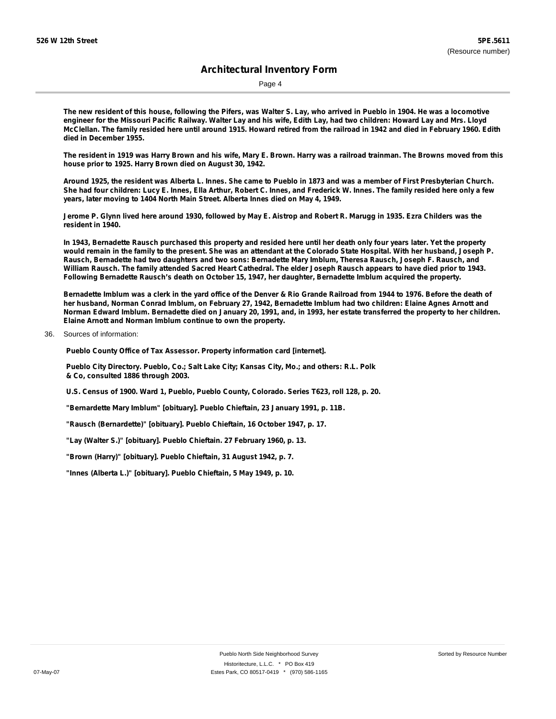Page 4

The new resident of this house, following the Pifers, was Walter S. Lay, who arrived in Pueblo in 1904. He was a locomotive engineer for the Missouri Pacific Railway. Walter Lay and his wife, Edith Lay, had two children: Howard Lay and Mrs. Lloyd McClellan. The family resided here until around 1915. Howard retired from the railroad in 1942 and died in February 1960. Edith **died in December 1955.**

The resident in 1919 was Harry Brown and his wife, Mary E. Brown. Harry was a railroad trainman. The Browns moved from this **house prior to 1925. Harry Brown died on August 30, 1942.**

Around 1925, the resident was Alberta L. Innes. She came to Pueblo in 1873 and was a member of First Presbyterian Church. She had four children: Lucy E. Innes, Ella Arthur, Robert C. Innes, and Frederick W. Innes. The family resided here only a few **years, later moving to 1404 North Main Street. Alberta Innes died on May 4, 1949.**

Jerome P. Glynn lived here around 1930, followed by May E. Aistrop and Robert R. Marugg in 1935. Ezra Childers was the **resident in 1940.**

In 1943. Bernadette Rausch purchased this property and resided here until her death only four years later. Yet the property would remain in the family to the present. She was an attendant at the Colorado State Hospital. With her husband, Joseph P. Rausch, Bernadette had two daughters and two sons: Bernadette Mary Imblum, Theresa Rausch, Joseph F. Rausch, and William Rausch. The family attended Sacred Heart Cathedral. The elder Joseph Rausch appears to have died prior to 1943. **Following Bernadette Rausch's death on October 15, 1947, her daughter, Bernadette Imblum acquired the property.**

Bernadette Imblum was a clerk in the yard office of the Denver & Rio Grande Railroad from 1944 to 1976. Before the death of her husband, Norman Conrad Imblum, on February 27, 1942, Bernadette Imblum had two children: Elaine Agnes Arnott and Norman Edward Imblum. Bernadette died on January 20, 1991, and, in 1993, her estate transferred the property to her children. **Elaine Arnott and Norman Imblum continue to own the property.**

### 36. Sources of information:

**Pueblo County Office of Tax Assessor. Property information card [internet].**

**Pueblo City Directory. Pueblo, Co.; Salt Lake City; Kansas City, Mo.; and others: R.L. Polk & Co, consulted 1886 through 2003.**

**U.S. Census of 1900. Ward 1, Pueblo, Pueblo County, Colorado. Series T623, roll 128, p. 20.**

**"Bernardette Mary Imblum" [obituary]. Pueblo Chieftain, 23 January 1991, p. 11B.**

**"Rausch (Bernardette)" [obituary]. Pueblo Chieftain, 16 October 1947, p. 17.**

**"Lay (Walter S.)" [obituary]. Pueblo Chieftain. 27 February 1960, p. 13.**

**"Brown (Harry)" [obituary]. Pueblo Chieftain, 31 August 1942, p. 7.**

**"Innes (Alberta L.)" [obituary]. Pueblo Chieftain, 5 May 1949, p. 10.**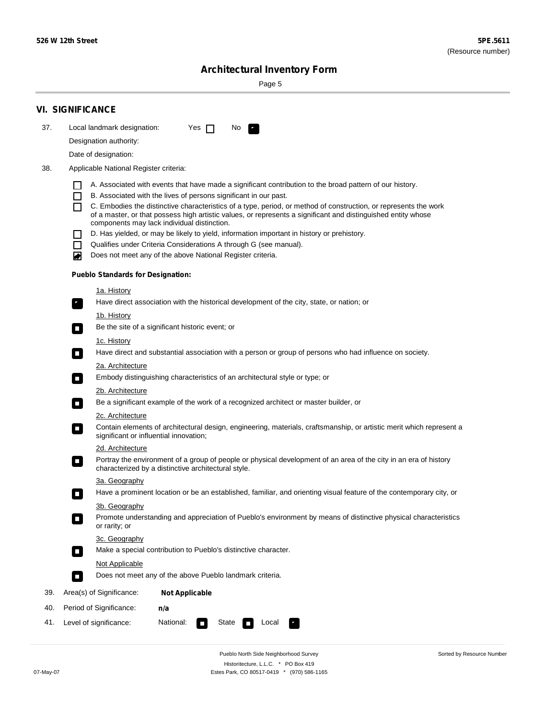Sorted by Resource Number

# **Architectural Inventory Form**

Page 5

|     | <b>VI. SIGNIFICANCE</b>                                                                                                                                                                        |
|-----|------------------------------------------------------------------------------------------------------------------------------------------------------------------------------------------------|
| 37. | Local landmark designation:<br>Yes $\Box$<br>No.<br>HE 2                                                                                                                                       |
|     | Designation authority:                                                                                                                                                                         |
|     | Date of designation:                                                                                                                                                                           |
| 38. | Applicable National Register criteria:                                                                                                                                                         |
|     |                                                                                                                                                                                                |
|     | A. Associated with events that have made a significant contribution to the broad pattern of our history.<br>B. Associated with the lives of persons significant in our past.<br>$\blacksquare$ |
|     | C. Embodies the distinctive characteristics of a type, period, or method of construction, or represents the work<br>П                                                                          |
|     | of a master, or that possess high artistic values, or represents a significant and distinguished entity whose<br>components may lack individual distinction.                                   |
|     | D. Has yielded, or may be likely to yield, information important in history or prehistory.                                                                                                     |
|     | Qualifies under Criteria Considerations A through G (see manual).<br>$\sim$                                                                                                                    |
|     | Does not meet any of the above National Register criteria.<br>₩                                                                                                                                |
|     | <b>Pueblo Standards for Designation:</b>                                                                                                                                                       |
|     | 1a. History                                                                                                                                                                                    |
|     | Have direct association with the historical development of the city, state, or nation; or<br>$\mathbf{r}_\perp$                                                                                |
|     | 1b. History                                                                                                                                                                                    |
|     | Be the site of a significant historic event; or<br>$\blacksquare$                                                                                                                              |
|     | 1c. History                                                                                                                                                                                    |
|     | Have direct and substantial association with a person or group of persons who had influence on society.<br>$\overline{\phantom{a}}$                                                            |
|     | 2a. Architecture                                                                                                                                                                               |
|     | Embody distinguishing characteristics of an architectural style or type; or<br>$\mathcal{L}_{\mathcal{A}}$                                                                                     |
|     | <u>2b. Architecture</u>                                                                                                                                                                        |
|     | Be a significant example of the work of a recognized architect or master builder, or<br>$\Box$                                                                                                 |
|     | 2c. Architecture<br>Contain elements of architectural design, engineering, materials, craftsmanship, or artistic merit which represent a                                                       |
|     | $\Box$<br>significant or influential innovation;                                                                                                                                               |
|     | 2d. Architecture<br>Portray the environment of a group of people or physical development of an area of the city in an era of history                                                           |
|     | $\Box$<br>characterized by a distinctive architectural style.                                                                                                                                  |
|     | 3a. Geography                                                                                                                                                                                  |
|     | Have a prominent location or be an established, familiar, and orienting visual feature of the contemporary city, or                                                                            |
|     | 3b. Geography                                                                                                                                                                                  |
|     | Promote understanding and appreciation of Pueblo's environment by means of distinctive physical characteristics<br>or rarity; or                                                               |
|     | 3c. Geography                                                                                                                                                                                  |
|     | Make a special contribution to Pueblo's distinctive character.<br>$\Box$                                                                                                                       |
|     | <b>Not Applicable</b>                                                                                                                                                                          |
|     | Does not meet any of the above Pueblo landmark criteria.<br>$\overline{\phantom{a}}$                                                                                                           |
| 39. | Area(s) of Significance:<br><b>Not Applicable</b>                                                                                                                                              |
| 40. | Period of Significance:<br>n/a                                                                                                                                                                 |
| 41. | National:<br>Level of significance:<br>State<br>Local<br>$\sim$                                                                                                                                |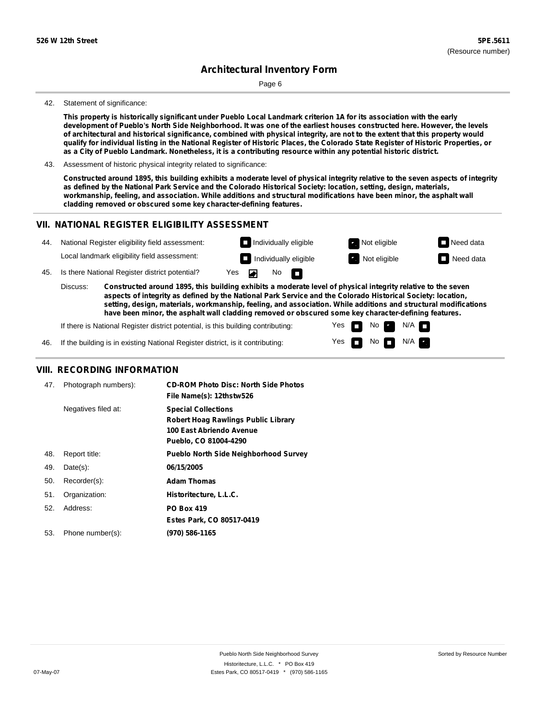Page 6

#### 42. Statement of significance:

This property is historically significant under Pueblo Local Landmark criterion 1A for its association with the early development of Pueblo's North Side Neighborhood. It was one of the earliest houses constructed here. However, the levels of architectural and historical significance, combined with physical integrity, are not to the extent that this property would qualify for individual listing in the National Register of Historic Places, the Colorado State Register of Historic Properties, or as a City of Pueblo Landmark. Nonetheless, it is a contributing resource within any potential historic district.

43. Assessment of historic physical integrity related to significance:

Constructed around 1895, this building exhibits a moderate level of physical integrity relative to the seven aspects of integrity as defined by the National Park Service and the Colorado Historical Society: location, setting, design, materials, **workmanship, feeling, and association. While additions and structural modifications have been minor, the asphalt wall cladding removed or obscured some key character-defining features.**

### **VII. NATIONAL REGISTER ELIGIBILITY ASSESSMENT**

| National Register eligibility field assessment: | $\Box$ Ind |
|-------------------------------------------------|------------|
|                                                 |            |



П

45. Is there National Register district potential? Yes

Local landmark eligibility field assessment:

**Constructed around 1895, this building exhibits a moderate level of physical integrity relative to the seven aspects of integrity as defined by the National Park Service and the Colorado Historical Society: location, setting, design, materials, workmanship, feeling, and association. While additions and structural modifications have been minor, the asphalt wall cladding removed or obscured some key character-defining features.** Discuss:

No

◚

Yes Yes

m

No

 $No$   $N/A$ 

 $N/A$ 

If there is National Register district potential, is this building contributing:

If the building is in existing National Register district, is it contributing: 46.

## **VIII. RECORDING INFORMATION**

| 47. | Photograph numbers): | <b>CD-ROM Photo Disc: North Side Photos</b><br>File Name(s): 12thstw526                                                       |
|-----|----------------------|-------------------------------------------------------------------------------------------------------------------------------|
|     | Negatives filed at:  | <b>Special Collections</b><br><b>Robert Hoag Rawlings Public Library</b><br>100 East Abriendo Avenue<br>Pueblo, CO 81004-4290 |
| 48. | Report title:        | <b>Pueblo North Side Neighborhood Survey</b>                                                                                  |
| 49. | $Date(s)$ :          | 06/15/2005                                                                                                                    |
| 50. | Recorder(s):         | <b>Adam Thomas</b>                                                                                                            |
| 51. | Organization:        | Historitecture, L.L.C.                                                                                                        |
| 52. | Address:             | <b>PO Box 419</b>                                                                                                             |
|     |                      | Estes Park, CO 80517-0419                                                                                                     |
| 53. | Phone number(s):     | (970) 586-1165                                                                                                                |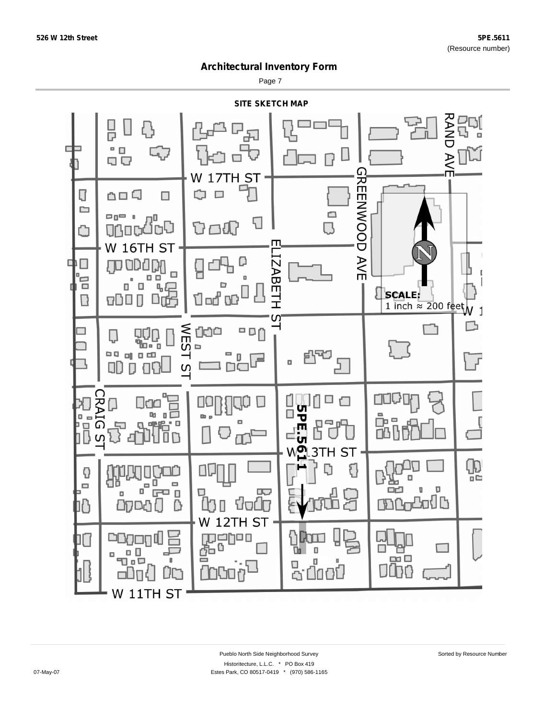Page 7